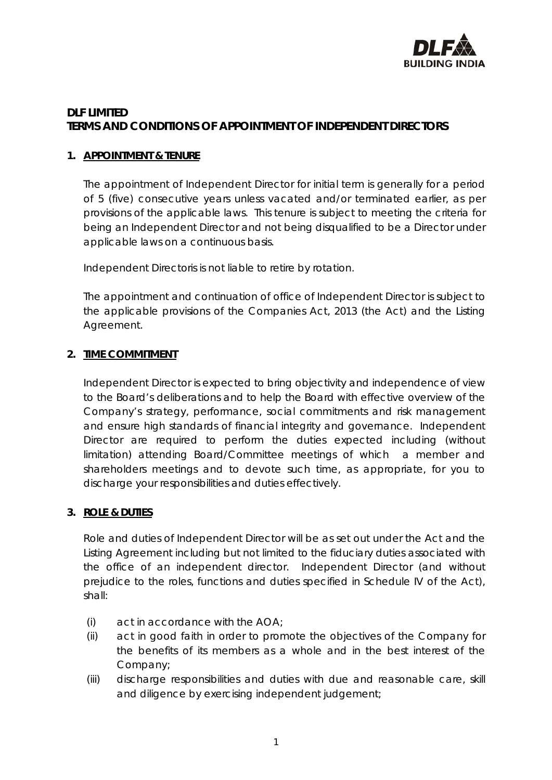

# **DLF LIMITED TERMS AND CONDITIONS OF APPOINTMENT OF INDEPENDENT DIRECTORS**

## **1. APPOINTMENT & TENURE**

The appointment of Independent Director for initial term is generally for a period of 5 (five) consecutive years unless vacated and/or terminated earlier, as per provisions of the applicable laws. This tenure is subject to meeting the criteria for being an Independent Director and not being disqualified to be a Director under applicable laws on a continuous basis.

Independent Directoris is not liable to retire by rotation.

The appointment and continuation of office of Independent Director is subject to the applicable provisions of the Companies Act, 2013 (the Act) and the Listing Agreement.

### **2. TIME COMMITMENT**

Independent Director is expected to bring objectivity and independence of view to the Board's deliberations and to help the Board with effective overview of the Company's strategy, performance, social commitments and risk management and ensure high standards of financial integrity and governance. Independent Director are required to perform the duties expected including (without limitation) attending Board/Committee meetings of which a member and shareholders meetings and to devote such time, as appropriate, for you to discharge your responsibilities and duties effectively.

#### **3. ROLE & DUTIES**

Role and duties of Independent Director will be as set out under the Act and the Listing Agreement including but not limited to the fiduciary duties associated with the office of an independent director. Independent Director (and without prejudice to the roles, functions and duties specified in Schedule IV of the Act), shall:

- (i) act in accordance with the AOA;
- (ii) act in good faith in order to promote the objectives of the Company for the benefits of its members as a whole and in the best interest of the Company;
- (iii) discharge responsibilities and duties with due and reasonable care, skill and diligence by exercising independent judgement;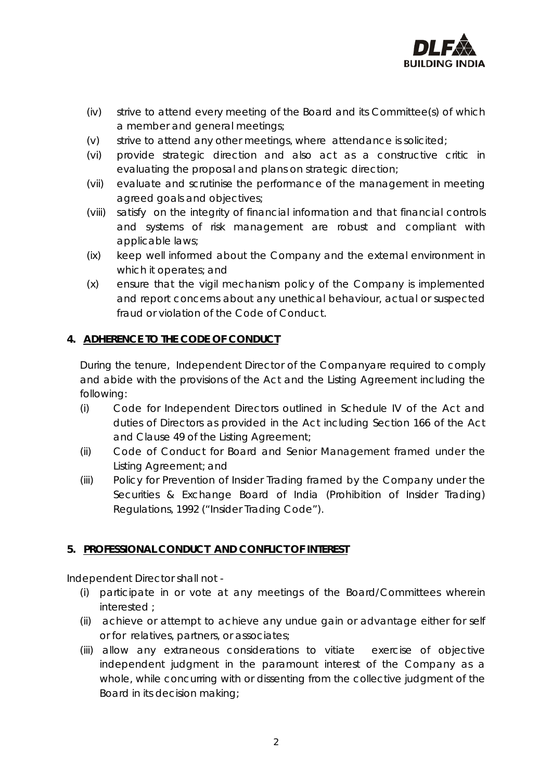

- (iv) strive to attend every meeting of the Board and its Committee(s) of which a member and general meetings;
- (v) strive to attend any other meetings, where attendance is solicited;
- (vi) provide strategic direction and also act as a constructive critic in evaluating the proposal and plans on strategic direction;
- (vii) evaluate and scrutinise the performance of the management in meeting agreed goals and objectives;
- (viii) satisfy on the integrity of financial information and that financial controls and systems of risk management are robust and compliant with applicable laws;
- (ix) keep well informed about the Company and the external environment in which it operates; and
- (x) ensure that the vigil mechanism policy of the Company is implemented and report concerns about any unethical behaviour, actual or suspected fraud or violation of the Code of Conduct.

## **4. ADHERENCE TO THE CODE OF CONDUCT**

During the tenure, Independent Director of the Companyare required to comply and abide with the provisions of the Act and the Listing Agreement including the following:

- (i) Code for Independent Directors outlined in Schedule IV of the Act and duties of Directors as provided in the Act including Section 166 of the Act and Clause 49 of the Listing Agreement;
- (ii) Code of Conduct for Board and Senior Management framed under the Listing Agreement; and
- (iii) Policy for Prevention of Insider Trading framed by the Company under the Securities & Exchange Board of India (Prohibition of Insider Trading) Regulations, 1992 ("Insider Trading Code").

## **5. PROFESSIONAL CONDUCT AND CONFLICT OF INTEREST**

Independent Director shall not -

- (i) participate in or vote at any meetings of the Board/Committees wherein interested ;
- (ii) achieve or attempt to achieve any undue gain or advantage either for self or for relatives, partners, or associates;
- (iii) allow any extraneous considerations to vitiate exercise of objective independent judgment in the paramount interest of the Company as a whole, while concurring with or dissenting from the collective judgment of the Board in its decision making;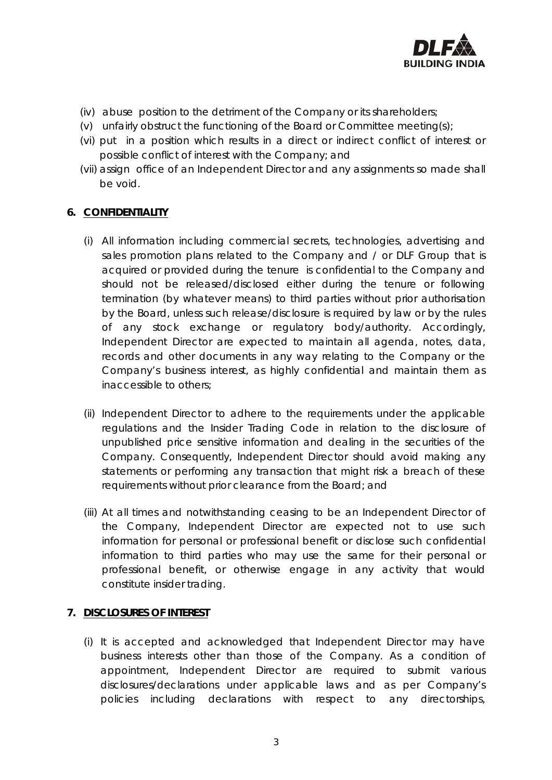

- (iv) abuse position to the detriment of the Company or its shareholders;
- (v) unfairly obstruct the functioning of the Board or Committee meeting(s);
- (vi) put in a position which results in a direct or indirect conflict of interest or possible conflict of interest with the Company; and
- (vii) assign office of an Independent Director and any assignments so made shall be void.

## **6. CONFIDENTIALITY**

- (i) All information including commercial secrets, technologies, advertising and sales promotion plans related to the Company and / or DLF Group that is acquired or provided during the tenure is confidential to the Company and should not be released/disclosed either during the tenure or following termination (by whatever means) to third parties without prior authorisation by the Board, unless such release/disclosure is required by law or by the rules of any stock exchange or regulatory body/authority. Accordingly, Independent Director are expected to maintain all agenda, notes, data, records and other documents in any way relating to the Company or the Company's business interest, as highly confidential and maintain them as inaccessible to others;
- (ii) Independent Director to adhere to the requirements under the applicable regulations and the Insider Trading Code in relation to the disclosure of unpublished price sensitive information and dealing in the securities of the Company. Consequently, Independent Director should avoid making any statements or performing any transaction that might risk a breach of these requirements without prior clearance from the Board; and
- (iii) At all times and notwithstanding ceasing to be an Independent Director of the Company, Independent Director are expected not to use such information for personal or professional benefit or disclose such confidential information to third parties who may use the same for their personal or professional benefit, or otherwise engage in any activity that would constitute insider trading.

## **7. DISCLOSURES OF INTEREST**

(i) It is accepted and acknowledged that Independent Director may have business interests other than those of the Company. As a condition of appointment, Independent Director are required to submit various disclosures/declarations under applicable laws and as per Company's policies including declarations with respect to any directorships,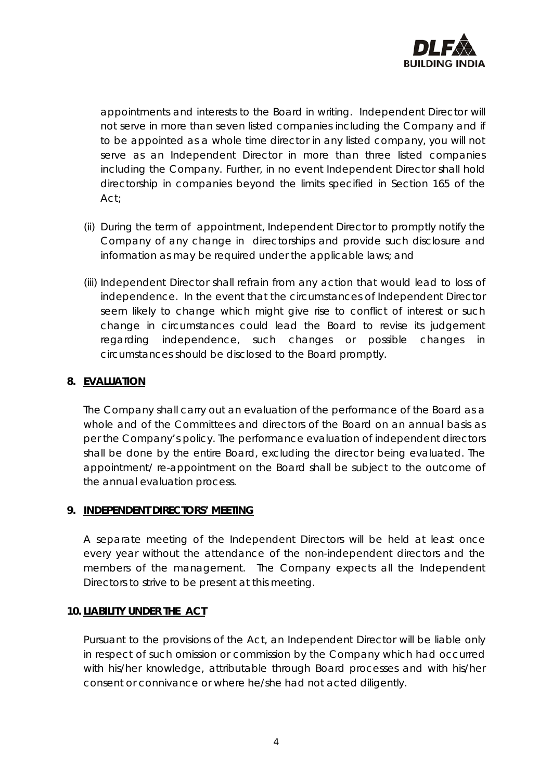

appointments and interests to the Board in writing. Independent Director will not serve in more than seven listed companies including the Company and if to be appointed as a whole time director in any listed company, you will not serve as an Independent Director in more than three listed companies including the Company. Further, in no event Independent Director shall hold directorship in companies beyond the limits specified in Section 165 of the Act;

- (ii) During the term of appointment, Independent Director to promptly notify the Company of any change in directorships and provide such disclosure and information as may be required under the applicable laws; and
- (iii) Independent Director shall refrain from any action that would lead to loss of independence. In the event that the circumstances of Independent Director seem likely to change which might give rise to conflict of interest or such change in circumstances could lead the Board to revise its judgement regarding independence, such changes or possible changes in circumstances should be disclosed to the Board promptly.

## **8. EVALUATION**

The Company shall carry out an evaluation of the performance of the Board as a whole and of the Committees and directors of the Board on an annual basis as per the Company's policy. The performance evaluation of independent directors shall be done by the entire Board, excluding the director being evaluated. The appointment/ re-appointment on the Board shall be subject to the outcome of the annual evaluation process.

#### **9. INDEPENDENT DIRECTORS' MEETING**

A separate meeting of the Independent Directors will be held at least once every year without the attendance of the non-independent directors and the members of the management. The Company expects all the Independent Directors to strive to be present at this meeting.

## **10. LIABILITY UNDER THE ACT**

Pursuant to the provisions of the Act, an Independent Director will be liable only in respect of such omission or commission by the Company which had occurred with his/her knowledge, attributable through Board processes and with his/her consent or connivance or where he/she had not acted diligently.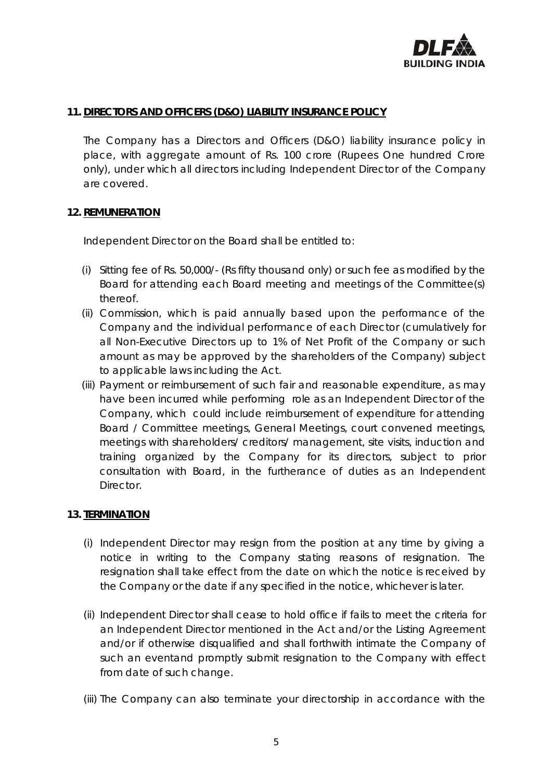

### **11. DIRECTORS AND OFFICERS (D&O) LIABILITY INSURANCE POLICY**

The Company has a Directors and Officers (D&O) liability insurance policy in place, with aggregate amount of Rs. 100 crore (Rupees One hundred Crore only), under which all directors including Independent Director of the Company are covered.

### 12. **REMUNERATION**

Independent Director on the Board shall be entitled to:

- (i) Sitting fee of Rs. 50,000/- (Rs fifty thousand only) or such fee as modified by the Board for attending each Board meeting and meetings of the Committee(s) thereof.
- (ii) Commission, which is paid annually based upon the performance of the Company and the individual performance of each Director (cumulatively for all Non-Executive Directors up to 1% of Net Profit of the Company or such amount as may be approved by the shareholders of the Company) subject to applicable laws including the Act.
- (iii) Payment or reimbursement of such fair and reasonable expenditure, as may have been incurred while performing role as an Independent Director of the Company, which could include reimbursement of expenditure for attending Board / Committee meetings, General Meetings, court convened meetings, meetings with shareholders/ creditors/ management, site visits, induction and training organized by the Company for its directors, subject to prior consultation with Board, in the furtherance of duties as an Independent Director.

#### **13. TERMINATION**

- (i) Independent Director may resign from the position at any time by giving a notice in writing to the Company stating reasons of resignation. The resignation shall take effect from the date on which the notice is received by the Company or the date if any specified in the notice, whichever is later.
- (ii) Independent Director shall cease to hold office if fails to meet the criteria for an Independent Director mentioned in the Act and/or the Listing Agreement and/or if otherwise disqualified and shall forthwith intimate the Company of such an eventand promptly submit resignation to the Company with effect from date of such change.
- (iii) The Company can also terminate your directorship in accordance with the